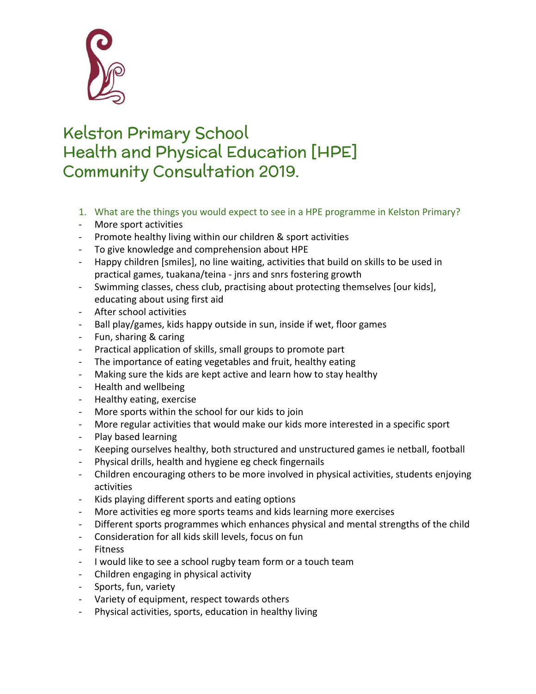

## Kelston Primary School Health and Physical Education [HPE] Community Consultation 2019.

- 1. What are the things you would expect to see in a HPE programme in Kelston Primary?
- More sport activities
- Promote healthy living within our children & sport activities
- To give knowledge and comprehension about HPE
- Happy children [smiles], no line waiting, activities that build on skills to be used in practical games, tuakana/teina - jnrs and snrs fostering growth
- Swimming classes, chess club, practising about protecting themselves [our kids], educating about using first aid
- After school activities
- Ball play/games, kids happy outside in sun, inside if wet, floor games
- Fun, sharing & caring
- Practical application of skills, small groups to promote part
- The importance of eating vegetables and fruit, healthy eating
- Making sure the kids are kept active and learn how to stay healthy
- Health and wellbeing
- Healthy eating, exercise
- More sports within the school for our kids to join
- More regular activities that would make our kids more interested in a specific sport
- Play based learning
- Keeping ourselves healthy, both structured and unstructured games ie netball, football
- Physical drills, health and hygiene eg check fingernails
- Children encouraging others to be more involved in physical activities, students enjoying activities
- Kids playing different sports and eating options
- More activities eg more sports teams and kids learning more exercises
- Different sports programmes which enhances physical and mental strengths of the child
- Consideration for all kids skill levels, focus on fun
- Fitness
- I would like to see a school rugby team form or a touch team
- Children engaging in physical activity
- Sports, fun, variety
- Variety of equipment, respect towards others
- Physical activities, sports, education in healthy living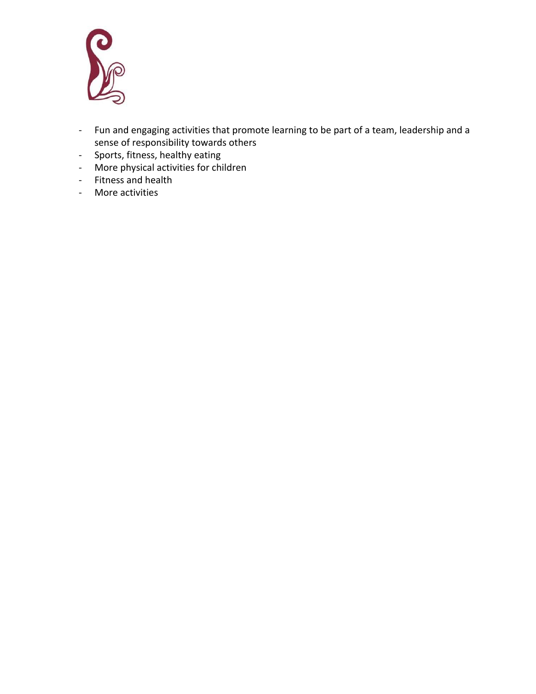

- Fun and engaging activities that promote learning to be part of a team, leadership and a sense of responsibility towards others
- Sports, fitness, healthy eating
- More physical activities for children
- Fitness and health
- More activities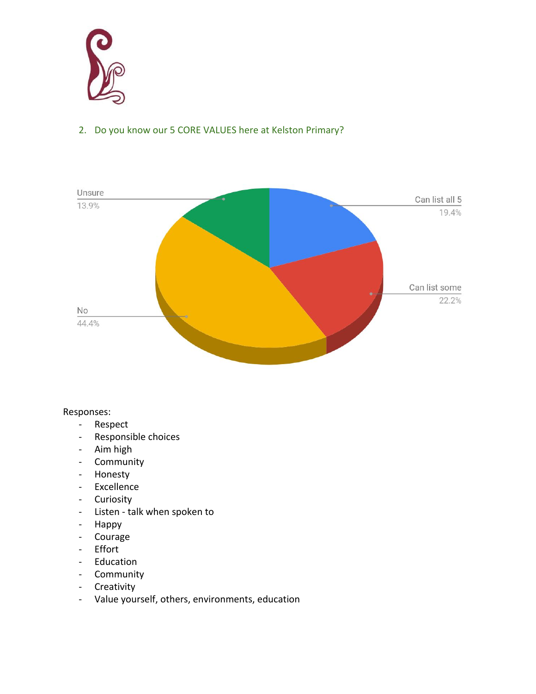

## 2. Do you know our 5 CORE VALUES here at Kelston Primary?



Responses:

- Respect
- Responsible choices
- Aim high
- Community
- Honesty
- Excellence
- Curiosity
- Listen talk when spoken to
- Happy
- Courage
- Effort
- Education
- Community
- Creativity
- Value yourself, others, environments, education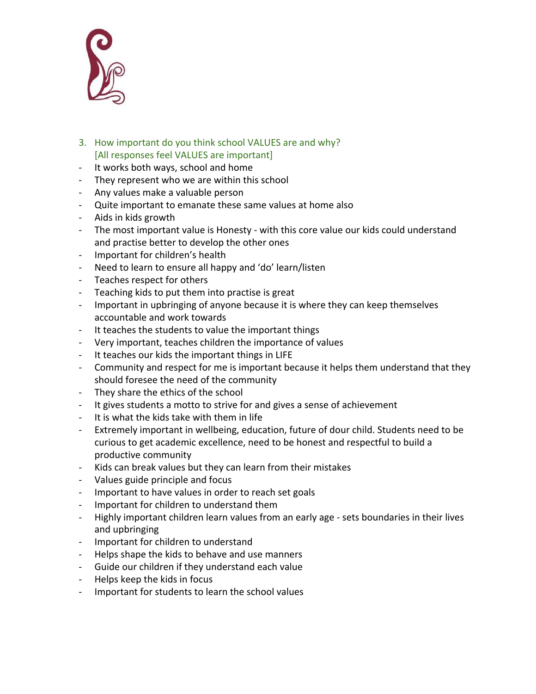

- 3. How important do you think school VALUES are and why? [All responses feel VALUES are important]
- It works both ways, school and home
- They represent who we are within this school
- Any values make a valuable person
- Quite important to emanate these same values at home also
- Aids in kids growth
- The most important value is Honesty with this core value our kids could understand and practise better to develop the other ones
- Important for children's health
- Need to learn to ensure all happy and 'do' learn/listen
- Teaches respect for others
- Teaching kids to put them into practise is great
- Important in upbringing of anyone because it is where they can keep themselves accountable and work towards
- It teaches the students to value the important things
- Very important, teaches children the importance of values
- It teaches our kids the important things in LIFE
- Community and respect for me is important because it helps them understand that they should foresee the need of the community
- They share the ethics of the school
- It gives students a motto to strive for and gives a sense of achievement
- It is what the kids take with them in life
- Extremely important in wellbeing, education, future of dour child. Students need to be curious to get academic excellence, need to be honest and respectful to build a productive community
- Kids can break values but they can learn from their mistakes
- Values guide principle and focus
- Important to have values in order to reach set goals
- Important for children to understand them
- Highly important children learn values from an early age sets boundaries in their lives and upbringing
- Important for children to understand
- Helps shape the kids to behave and use manners
- Guide our children if they understand each value
- Helps keep the kids in focus
- Important for students to learn the school values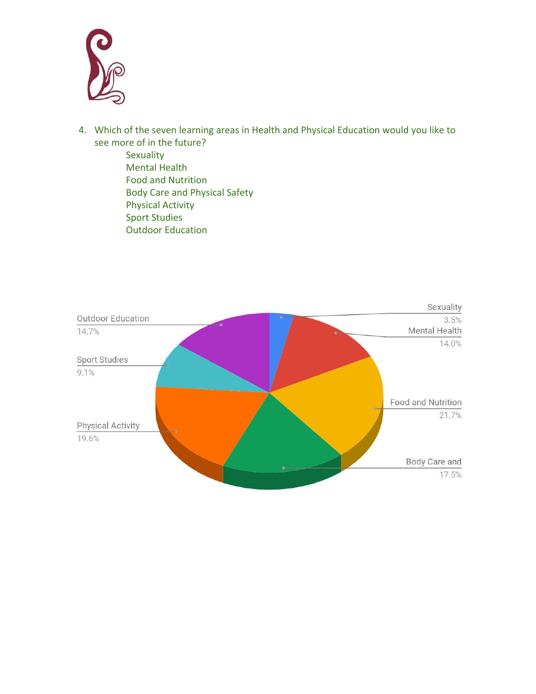

- 4. Which of the seven learning areas in Health and Physical Education would you like to see more of in the future?
	- **Sexuality** Mental Health Food and Nutrition Body Care and Physical Safety Physical Activity Sport Studies Outdoor Education

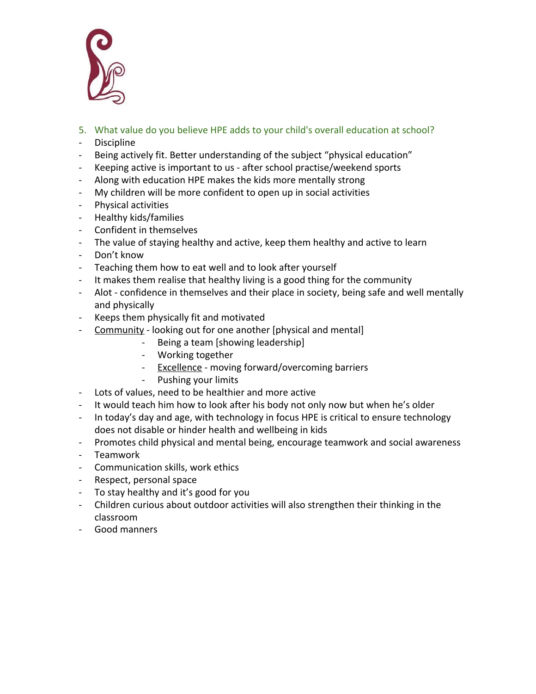

- 5. What value do you believe HPE adds to your child's overall education at school?
- Discipline
- Being actively fit. Better understanding of the subject "physical education"
- Keeping active is important to us after school practise/weekend sports
- Along with education HPE makes the kids more mentally strong
- My children will be more confident to open up in social activities
- Physical activities
- Healthy kids/families
- Confident in themselves
- The value of staying healthy and active, keep them healthy and active to learn
- Don't know
- Teaching them how to eat well and to look after yourself
- It makes them realise that healthy living is a good thing for the community
- Alot confidence in themselves and their place in society, being safe and well mentally and physically
- Keeps them physically fit and motivated
- Community looking out for one another [physical and mental]
	- Being a team [showing leadership]
	- Working together
	- Excellence moving forward/overcoming barriers
	- Pushing your limits
- Lots of values, need to be healthier and more active
- It would teach him how to look after his body not only now but when he's older
- In today's day and age, with technology in focus HPE is critical to ensure technology does not disable or hinder health and wellbeing in kids
- Promotes child physical and mental being, encourage teamwork and social awareness
- Teamwork
- Communication skills, work ethics
- Respect, personal space
- To stay healthy and it's good for you
- Children curious about outdoor activities will also strengthen their thinking in the classroom
- Good manners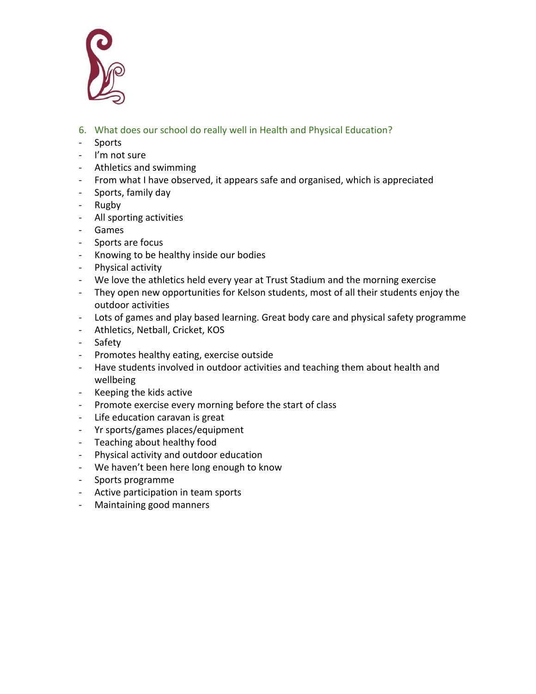

- 6. What does our school do really well in Health and Physical Education?
- Sports
- I'm not sure
- Athletics and swimming
- From what I have observed, it appears safe and organised, which is appreciated
- Sports, family day
- Rugby
- All sporting activities
- Games
- Sports are focus
- Knowing to be healthy inside our bodies
- Physical activity
- We love the athletics held every year at Trust Stadium and the morning exercise
- They open new opportunities for Kelson students, most of all their students enjoy the outdoor activities
- Lots of games and play based learning. Great body care and physical safety programme
- Athletics, Netball, Cricket, KOS
- Safety
- Promotes healthy eating, exercise outside
- Have students involved in outdoor activities and teaching them about health and wellbeing
- Keeping the kids active
- Promote exercise every morning before the start of class
- Life education caravan is great
- Yr sports/games places/equipment
- Teaching about healthy food
- Physical activity and outdoor education
- We haven't been here long enough to know
- Sports programme
- Active participation in team sports
- Maintaining good manners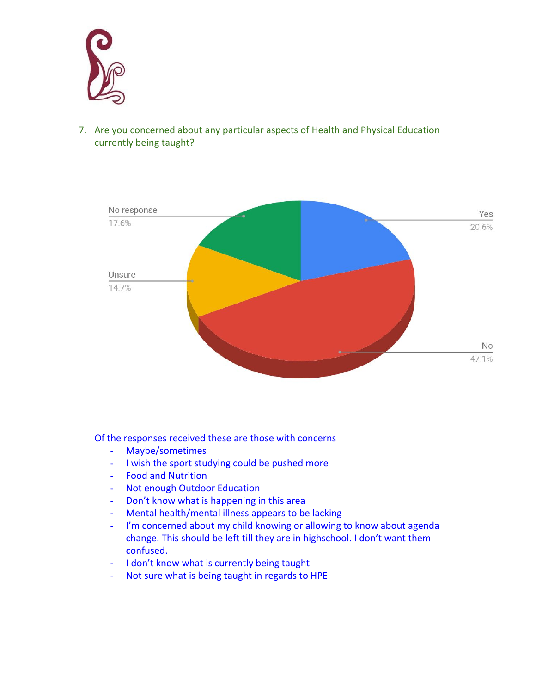

7. Are you concerned about any particular aspects of Health and Physical Education currently being taught?



Of the responses received these are those with concerns

- Maybe/sometimes
- I wish the sport studying could be pushed more
- Food and Nutrition
- Not enough Outdoor Education
- Don't know what is happening in this area
- Mental health/mental illness appears to be lacking
- I'm concerned about my child knowing or allowing to know about agenda change. This should be left till they are in highschool. I don't want them confused.
- I don't know what is currently being taught
- Not sure what is being taught in regards to HPE